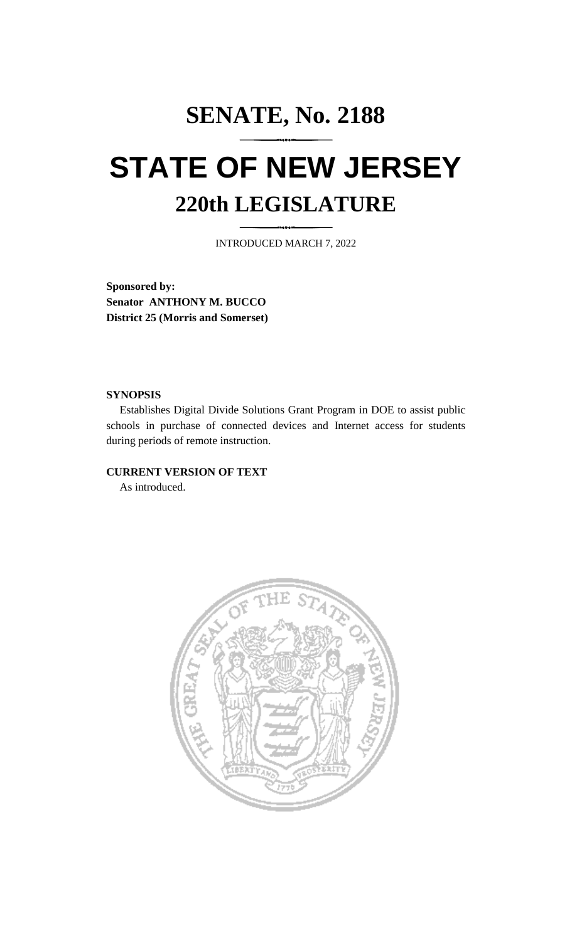## **SENATE, No. 2188 STATE OF NEW JERSEY 220th LEGISLATURE**

INTRODUCED MARCH 7, 2022

**Sponsored by: Senator ANTHONY M. BUCCO District 25 (Morris and Somerset)**

## **SYNOPSIS**

Establishes Digital Divide Solutions Grant Program in DOE to assist public schools in purchase of connected devices and Internet access for students during periods of remote instruction.

## **CURRENT VERSION OF TEXT**

As introduced.

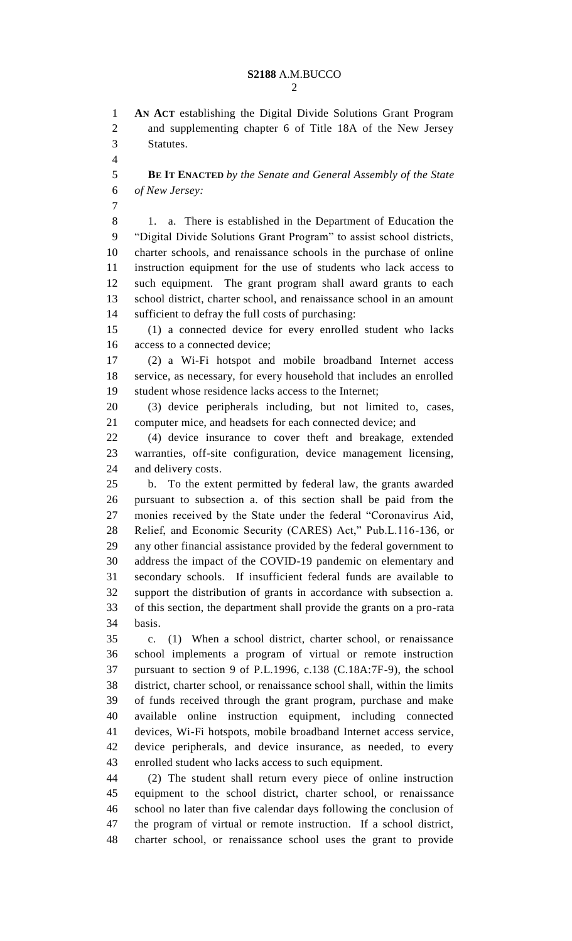**AN ACT** establishing the Digital Divide Solutions Grant Program and supplementing chapter 6 of Title 18A of the New Jersey Statutes.

 **BE IT ENACTED** *by the Senate and General Assembly of the State of New Jersey:*

8 1. a. There is established in the Department of Education the "Digital Divide Solutions Grant Program" to assist school districts, charter schools, and renaissance schools in the purchase of online instruction equipment for the use of students who lack access to such equipment. The grant program shall award grants to each school district, charter school, and renaissance school in an amount sufficient to defray the full costs of purchasing:

 (1) a connected device for every enrolled student who lacks access to a connected device;

 (2) a Wi-Fi hotspot and mobile broadband Internet access service, as necessary, for every household that includes an enrolled student whose residence lacks access to the Internet;

 (3) device peripherals including, but not limited to, cases, computer mice, and headsets for each connected device; and

 (4) device insurance to cover theft and breakage, extended warranties, off-site configuration, device management licensing, and delivery costs.

 b. To the extent permitted by federal law, the grants awarded pursuant to subsection a. of this section shall be paid from the monies received by the State under the federal "Coronavirus Aid, Relief, and Economic Security (CARES) Act," Pub.L.116-136, or any other financial assistance provided by the federal government to address the impact of the COVID-19 pandemic on elementary and secondary schools. If insufficient federal funds are available to support the distribution of grants in accordance with subsection a. of this section, the department shall provide the grants on a pro-rata basis.

 c. (1) When a school district, charter school, or renaissance school implements a program of virtual or remote instruction pursuant to section 9 of P.L.1996, c.138 (C.18A:7F-9), the school district, charter school, or renaissance school shall, within the limits of funds received through the grant program, purchase and make available online instruction equipment, including connected devices, Wi-Fi hotspots, mobile broadband Internet access service, device peripherals, and device insurance, as needed, to every enrolled student who lacks access to such equipment.

 (2) The student shall return every piece of online instruction equipment to the school district, charter school, or renaissance school no later than five calendar days following the conclusion of the program of virtual or remote instruction. If a school district, charter school, or renaissance school uses the grant to provide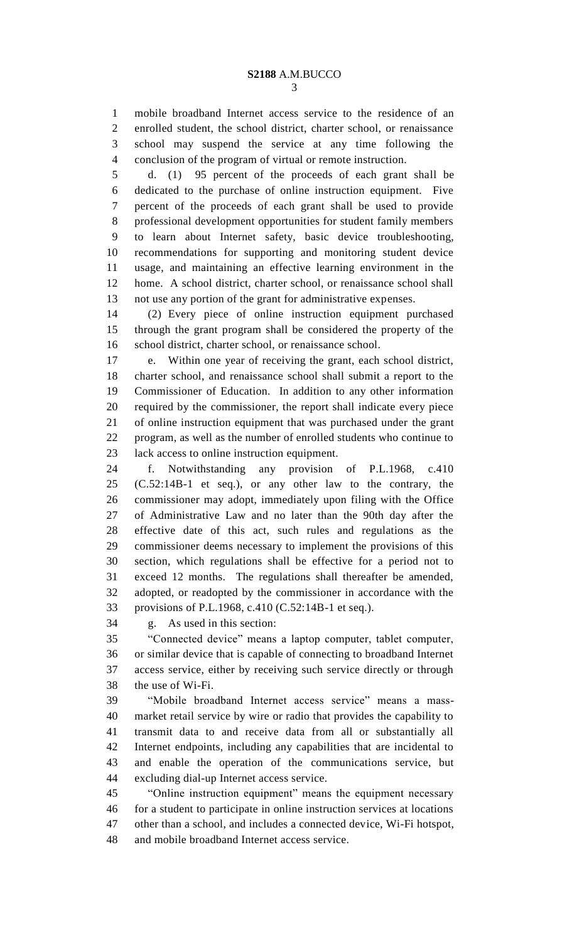mobile broadband Internet access service to the residence of an enrolled student, the school district, charter school, or renaissance school may suspend the service at any time following the conclusion of the program of virtual or remote instruction.

 d. (1) 95 percent of the proceeds of each grant shall be dedicated to the purchase of online instruction equipment. Five percent of the proceeds of each grant shall be used to provide professional development opportunities for student family members to learn about Internet safety, basic device troubleshooting, recommendations for supporting and monitoring student device usage, and maintaining an effective learning environment in the home. A school district, charter school, or renaissance school shall not use any portion of the grant for administrative expenses.

 (2) Every piece of online instruction equipment purchased through the grant program shall be considered the property of the school district, charter school, or renaissance school.

 e. Within one year of receiving the grant, each school district, charter school, and renaissance school shall submit a report to the Commissioner of Education. In addition to any other information required by the commissioner, the report shall indicate every piece of online instruction equipment that was purchased under the grant program, as well as the number of enrolled students who continue to lack access to online instruction equipment.

 f. Notwithstanding any provision of P.L.1968, c.410 (C.52:14B-1 et seq.), or any other law to the contrary, the commissioner may adopt, immediately upon filing with the Office of Administrative Law and no later than the 90th day after the effective date of this act, such rules and regulations as the commissioner deems necessary to implement the provisions of this section, which regulations shall be effective for a period not to exceed 12 months. The regulations shall thereafter be amended, adopted, or readopted by the commissioner in accordance with the provisions of P.L.1968, c.410 (C.52:14B-1 et seq.).

g. As used in this section:

 "Connected device" means a laptop computer, tablet computer, or similar device that is capable of connecting to broadband Internet access service, either by receiving such service directly or through the use of Wi-Fi.

 "Mobile broadband Internet access service" means a mass- market retail service by wire or radio that provides the capability to transmit data to and receive data from all or substantially all Internet endpoints, including any capabilities that are incidental to and enable the operation of the communications service, but excluding dial-up Internet access service.

 "Online instruction equipment" means the equipment necessary for a student to participate in online instruction services at locations other than a school, and includes a connected device, Wi-Fi hotspot, and mobile broadband Internet access service.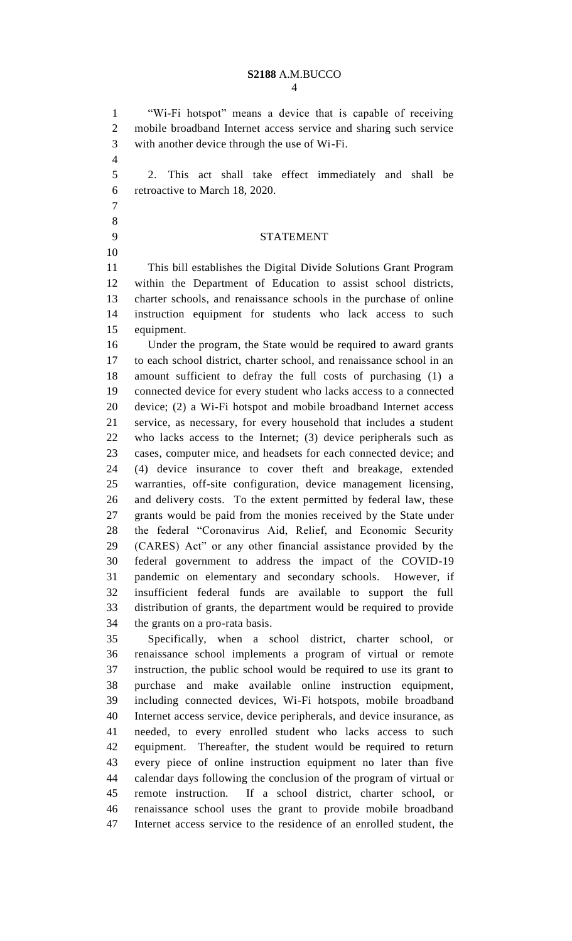"Wi-Fi hotspot" means a device that is capable of receiving mobile broadband Internet access service and sharing such service with another device through the use of Wi-Fi. 2. This act shall take effect immediately and shall be retroactive to March 18, 2020. STATEMENT This bill establishes the Digital Divide Solutions Grant Program within the Department of Education to assist school districts, charter schools, and renaissance schools in the purchase of online instruction equipment for students who lack access to such equipment. Under the program, the State would be required to award grants to each school district, charter school, and renaissance school in an amount sufficient to defray the full costs of purchasing (1) a connected device for every student who lacks access to a connected device; (2) a Wi-Fi hotspot and mobile broadband Internet access service, as necessary, for every household that includes a student who lacks access to the Internet; (3) device peripherals such as cases, computer mice, and headsets for each connected device; and (4) device insurance to cover theft and breakage, extended warranties, off-site configuration, device management licensing, and delivery costs. To the extent permitted by federal law, these grants would be paid from the monies received by the State under the federal "Coronavirus Aid, Relief, and Economic Security (CARES) Act" or any other financial assistance provided by the federal government to address the impact of the COVID-19 pandemic on elementary and secondary schools. However, if insufficient federal funds are available to support the full distribution of grants, the department would be required to provide the grants on a pro-rata basis. Specifically, when a school district, charter school, or renaissance school implements a program of virtual or remote instruction, the public school would be required to use its grant to purchase and make available online instruction equipment, including connected devices, Wi-Fi hotspots, mobile broadband Internet access service, device peripherals, and device insurance, as needed, to every enrolled student who lacks access to such

 equipment. Thereafter, the student would be required to return every piece of online instruction equipment no later than five calendar days following the conclusion of the program of virtual or remote instruction. If a school district, charter school, or renaissance school uses the grant to provide mobile broadband Internet access service to the residence of an enrolled student, the